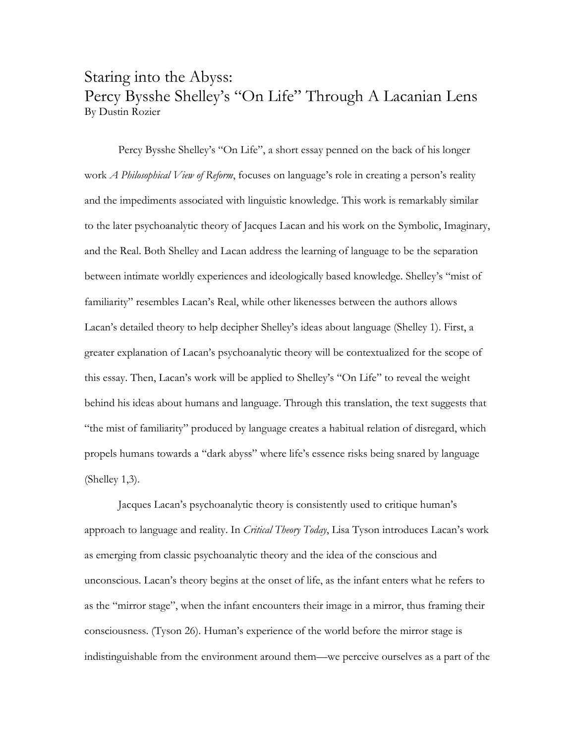## Staring into the Abyss: Percy Bysshe Shelley's "On Life" Through A Lacanian Lens By Dustin Rozier

Percy Bysshe Shelley's "On Life", a short essay penned on the back of his longer work *A Philosophical View of Reform*, focuses on language's role in creating a person's reality and the impediments associated with linguistic knowledge. This work is remarkably similar to the later psychoanalytic theory of Jacques Lacan and his work on the Symbolic, Imaginary, and the Real. Both Shelley and Lacan address the learning of language to be the separation between intimate worldly experiences and ideologically based knowledge. Shelley's "mist of familiarity" resembles Lacan's Real, while other likenesses between the authors allows Lacan's detailed theory to help decipher Shelley's ideas about language (Shelley 1). First, a greater explanation of Lacan's psychoanalytic theory will be contextualized for the scope of this essay. Then, Lacan's work will be applied to Shelley's "On Life" to reveal the weight behind his ideas about humans and language. Through this translation, the text suggests that "the mist of familiarity" produced by language creates a habitual relation of disregard, which propels humans towards a "dark abyss" where life's essence risks being snared by language (Shelley 1,3).

Jacques Lacan's psychoanalytic theory is consistently used to critique human's approach to language and reality. In *Critical Theory Today*, Lisa Tyson introduces Lacan's work as emerging from classic psychoanalytic theory and the idea of the conscious and unconscious. Lacan's theory begins at the onset of life, as the infant enters what he refers to as the "mirror stage", when the infant encounters their image in a mirror, thus framing their consciousness. (Tyson 26). Human's experience of the world before the mirror stage is indistinguishable from the environment around them—we perceive ourselves as a part of the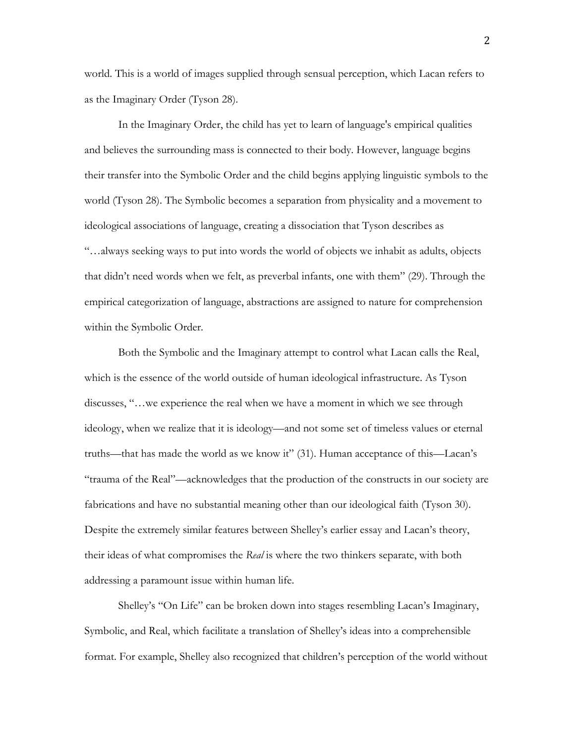world. This is a world of images supplied through sensual perception, which Lacan refers to as the Imaginary Order (Tyson 28).

In the Imaginary Order, the child has yet to learn of language's empirical qualities and believes the surrounding mass is connected to their body. However, language begins their transfer into the Symbolic Order and the child begins applying linguistic symbols to the world (Tyson 28). The Symbolic becomes a separation from physicality and a movement to ideological associations of language, creating a dissociation that Tyson describes as "…always seeking ways to put into words the world of objects we inhabit as adults, objects that didn't need words when we felt, as preverbal infants, one with them" (29). Through the empirical categorization of language, abstractions are assigned to nature for comprehension within the Symbolic Order.

Both the Symbolic and the Imaginary attempt to control what Lacan calls the Real, which is the essence of the world outside of human ideological infrastructure. As Tyson discusses, "…we experience the real when we have a moment in which we see through ideology, when we realize that it is ideology—and not some set of timeless values or eternal truths—that has made the world as we know it" (31). Human acceptance of this—Lacan's "trauma of the Real"—acknowledges that the production of the constructs in our society are fabrications and have no substantial meaning other than our ideological faith (Tyson 30). Despite the extremely similar features between Shelley's earlier essay and Lacan's theory, their ideas of what compromises the *Real* is where the two thinkers separate, with both addressing a paramount issue within human life.

Shelley's "On Life" can be broken down into stages resembling Lacan's Imaginary, Symbolic, and Real, which facilitate a translation of Shelley's ideas into a comprehensible format. For example, Shelley also recognized that children's perception of the world without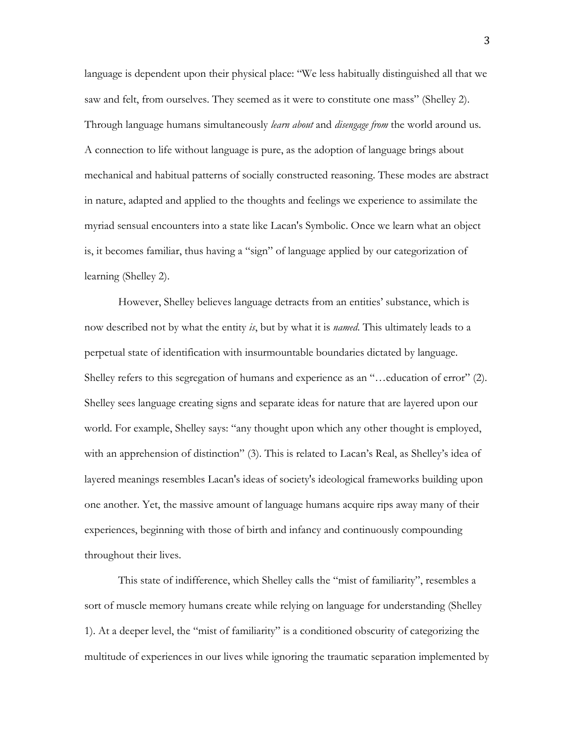language is dependent upon their physical place: "We less habitually distinguished all that we saw and felt, from ourselves. They seemed as it were to constitute one mass" (Shelley 2). Through language humans simultaneously *learn about* and *disengage from* the world around us. A connection to life without language is pure, as the adoption of language brings about mechanical and habitual patterns of socially constructed reasoning. These modes are abstract in nature, adapted and applied to the thoughts and feelings we experience to assimilate the myriad sensual encounters into a state like Lacan's Symbolic. Once we learn what an object is, it becomes familiar, thus having a "sign" of language applied by our categorization of learning (Shelley 2).

However, Shelley believes language detracts from an entities' substance, which is now described not by what the entity *is*, but by what it is *named*. This ultimately leads to a perpetual state of identification with insurmountable boundaries dictated by language. Shelley refers to this segregation of humans and experience as an "…education of error" (2). Shelley sees language creating signs and separate ideas for nature that are layered upon our world. For example, Shelley says: "any thought upon which any other thought is employed, with an apprehension of distinction" (3). This is related to Lacan's Real, as Shelley's idea of layered meanings resembles Lacan's ideas of society's ideological frameworks building upon one another. Yet, the massive amount of language humans acquire rips away many of their experiences, beginning with those of birth and infancy and continuously compounding throughout their lives.

This state of indifference, which Shelley calls the "mist of familiarity", resembles a sort of muscle memory humans create while relying on language for understanding (Shelley 1). At a deeper level, the "mist of familiarity" is a conditioned obscurity of categorizing the multitude of experiences in our lives while ignoring the traumatic separation implemented by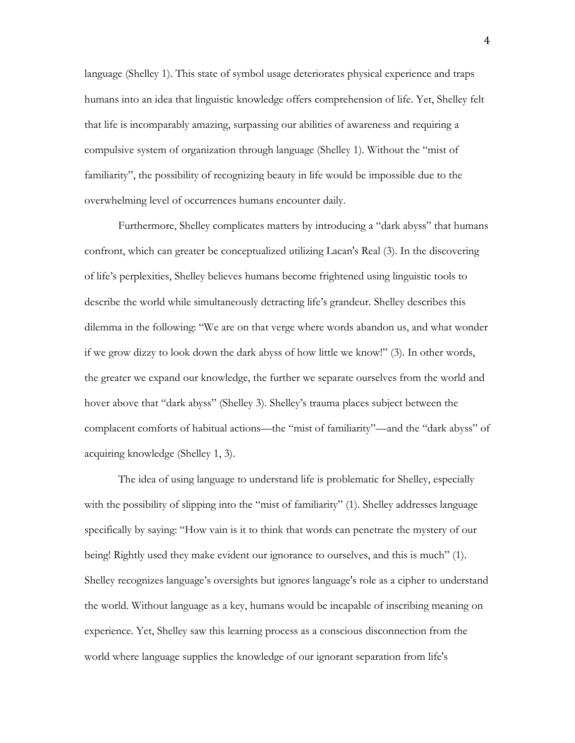language (Shelley 1). This state of symbol usage deteriorates physical experience and traps humans into an idea that linguistic knowledge offers comprehension of life. Yet, Shelley felt that life is incomparably amazing, surpassing our abilities of awareness and requiring a compulsive system of organization through language (Shelley 1). Without the "mist of familiarity", the possibility of recognizing beauty in life would be impossible due to the overwhelming level of occurrences humans encounter daily.

Furthermore, Shelley complicates matters by introducing a "dark abyss" that humans confront, which can greater be conceptualized utilizing Lacan's Real (3). In the discovering of life's perplexities, Shelley believes humans become frightened using linguistic tools to describe the world while simultaneously detracting life's grandeur. Shelley describes this dilemma in the following: "We are on that verge where words abandon us, and what wonder if we grow dizzy to look down the dark abyss of how little we know!" (3). In other words, the greater we expand our knowledge, the further we separate ourselves from the world and hover above that "dark abyss" (Shelley 3). Shelley's trauma places subject between the complacent comforts of habitual actions—the "mist of familiarity"—and the "dark abyss" of acquiring knowledge (Shelley 1, 3).

The idea of using language to understand life is problematic for Shelley, especially with the possibility of slipping into the "mist of familiarity" (1). Shelley addresses language specifically by saying: "How vain is it to think that words can penetrate the mystery of our being! Rightly used they make evident our ignorance to ourselves, and this is much" (1). Shelley recognizes language's oversights but ignores language's role as a cipher to understand the world. Without language as a key, humans would be incapable of inscribing meaning on experience. Yet, Shelley saw this learning process as a conscious disconnection from the world where language supplies the knowledge of our ignorant separation from life's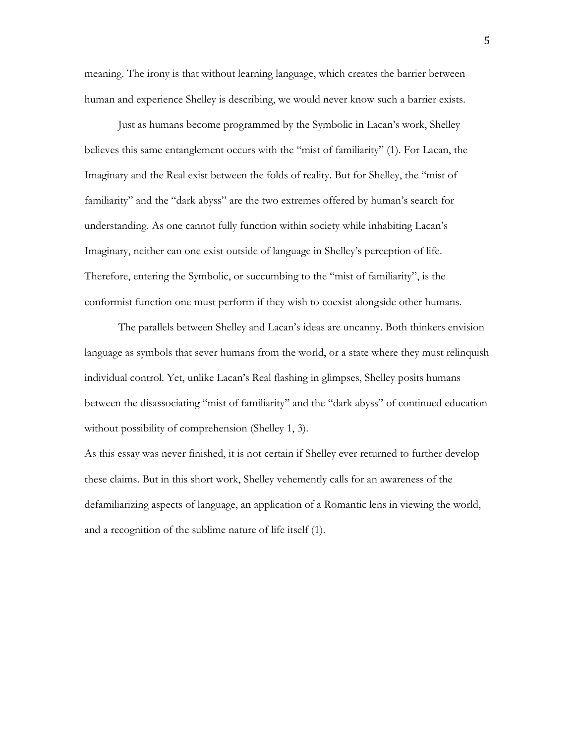meaning. The irony is that without learning language, which creates the barrier between human and experience Shelley is describing, we would never know such a barrier exists.

Just as humans become programmed by the Symbolic in Lacan's work, Shelley believes this same entanglement occurs with the "mist of familiarity" (1). For Lacan, the Imaginary and the Real exist between the folds of reality. But for Shelley, the "mist of familiarity" and the "dark abyss" are the two extremes offered by human's search for understanding. As one cannot fully function within society while inhabiting Lacan's Imaginary, neither can one exist outside of language in Shelley's perception of life. Therefore, entering the Symbolic, or succumbing to the "mist of familiarity", is the conformist function one must perform if they wish to coexist alongside other humans.

The parallels between Shelley and Lacan's ideas are uncanny. Both thinkers envision language as symbols that sever humans from the world, or a state where they must relinquish individual control. Yet, unlike Lacan's Real flashing in glimpses, Shelley posits humans between the disassociating "mist of familiarity" and the "dark abyss" of continued education without possibility of comprehension (Shelley 1, 3).

As this essay was never finished, it is not certain if Shelley ever returned to further develop these claims. But in this short work, Shelley vehemently calls for an awareness of the defamiliarizing aspects of language, an application of a Romantic lens in viewing the world, and a recognition of the sublime nature of life itself (1).